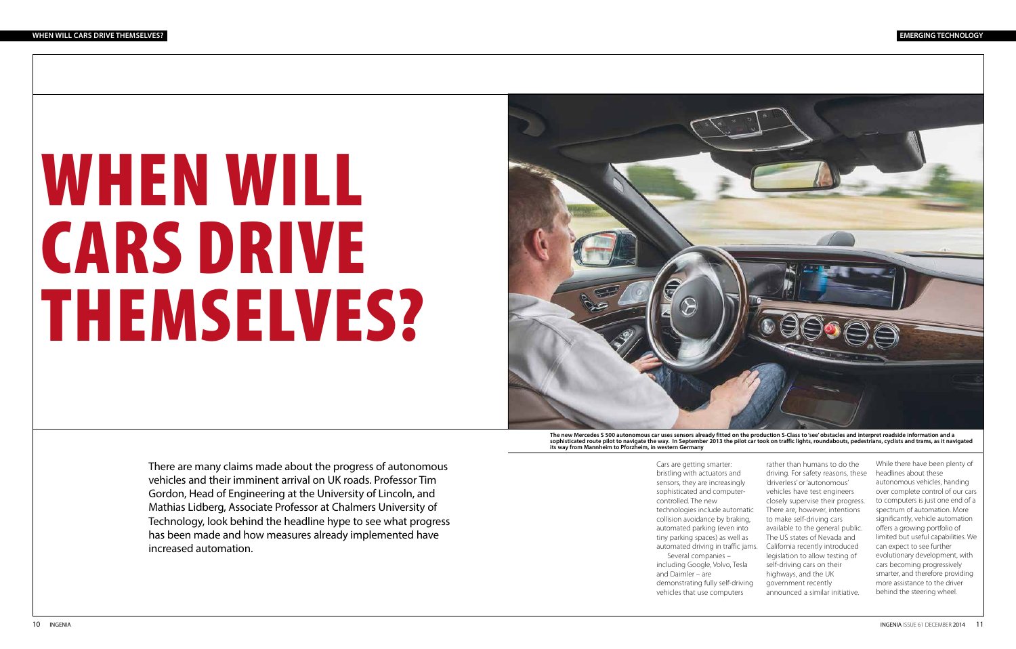Cars are getting smarter: bristling with actuators and sensors, they are increasingly sophisticated and computercontrolled. The new technologies include automatic collision avoidance by braking, automated parking (even into tiny parking spaces) as well as automated driving in traffic jams. California recently introduced Several companies – including Google, Volvo, Tesla and Daimler – are demonstrating fully self-driving vehicles that use computers

rather than humans to do the driving. For safety reasons, these 'driverless' or 'autonomous' vehicles have test engineers closely supervise their progress. There are, however, intentions to make self-driving cars available to the general public. The US states of Nevada and legislation to allow testing of self-driving cars on their highways, and the UK government recently announced a similar initiative.

While there have been plenty of headlines about these autonomous vehicles, handing over complete control of our cars to computers is just one end of a spectrum of automation. More significantly, vehicle automation offers a growing portfolio of limited but useful capabilities. We can expect to see further evolutionary development, with cars becoming progressively smarter, and therefore providing more assistance to the driver behind the steering wheel.

There are many claims made about the progress of autonomous vehicles and their imminent arrival on UK roads. Professor Tim Gordon, Head of Engineering at the University of Lincoln, and Mathias Lidberg, Associate Professor at Chalmers University of Technology, look behind the headline hype to see what progress has been made and how measures already implemented have increased automation.

# WHEN WILL CARS DRIVE THEMSELVES?



**The new Mercedes S 500 autonomous car uses sensors already fitted on the production S-Class to 'see' obstacles and interpret roadside information and a sophisticated route pilot to navigate the way. In September 2013 the pilot car took on traffic lights, roundabouts, pedestrians, cyclists and trams, as it navigated** 

**its way from Mannheim to Pforzheim, in western Germany**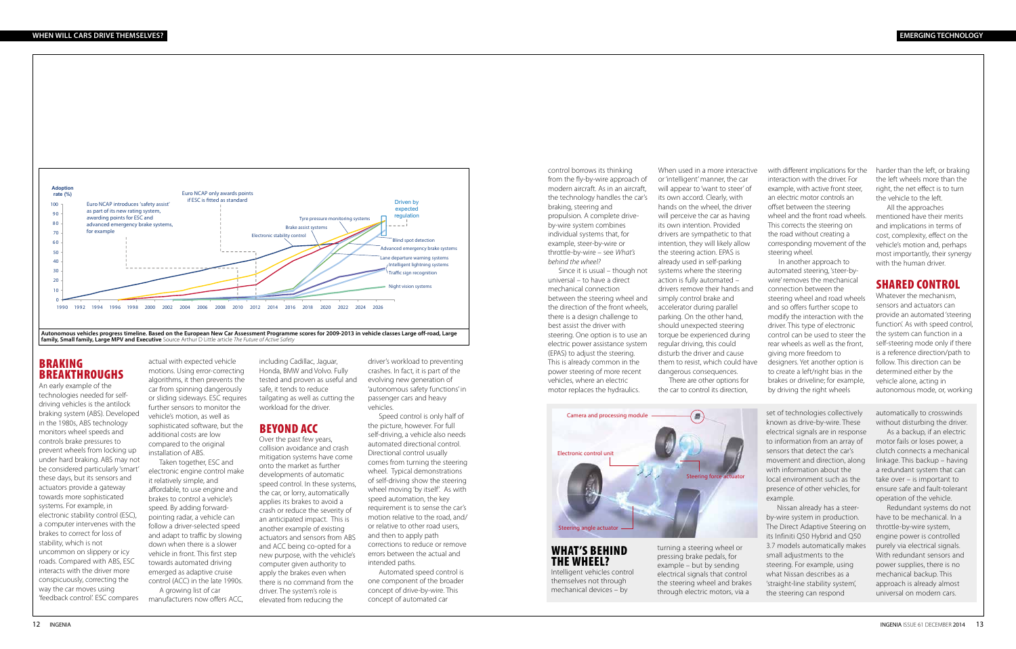

### BRAKING BREAKTHROUGHS

An early example of the technologies needed for selfdriving vehicles is the antilock braking system (ABS). Developed in the 1980s, ABS technology monitors wheel speeds and controls brake pressures to prevent wheels from locking up under hard braking. ABS may not be considered particularly 'smart' these days, but its sensors and actuators provide a gateway towards more sophisticated systems. For example, in electronic stability control (ESC), a computer intervenes with the brakes to correct for loss of stability, which is not uncommon on slippery or icy roads. Compared with ABS, ESC interacts with the driver more conspicuously, correcting the way the car moves using 'feedback control'. ESC compares actual with expected vehicle motions. Using error-correcting algorithms, it then prevents the car from spinning dangerously or sliding sideways. ESC requires further sensors to monitor the vehicle's motion, as well as sophisticated software, but the additional costs are low compared to the original installation of ABS.

Taken together, ESC and electronic engine control make it relatively simple, and affordable, to use engine and brakes to control a vehicle's speed. By adding forwardpointing radar, a vehicle can follow a driver-selected speed and adapt to traffic by slowing down when there is a slower vehicle in front. This first step towards automated driving emerged as adaptive cruise control (ACC) in the late 1990s.

A growing list of car manufacturers now offers ACC,

driver's workload to preventing crashes. In fact, it is part of the evolving new generation of 'autonomous safety functions' in passenger cars and heavy vehicles.

Speed control is only half of the picture, however. For full self-driving, a vehicle also needs automated directional control. Directional control usually comes from turning the steering wheel. Typical demonstrations of self-driving show the steering wheel moving 'by itself'. As with speed automation, the key requirement is to sense the car's motion relative to the road, and/ or relative to other road users, and then to apply path corrections to reduce or remove errors between the actual and intended paths.

Automated speed control is one component of the broader concept of drive-by-wire. This concept of automated car

control borrows its thinking from the fly-by-wire approach of modern aircraft. As in an aircraft, the technology handles the car's braking, steering and propulsion. A complete driveby-wire system combines individual systems that, for example, steer-by-wire or throttle-by-wire – see *What's behind the wheel?*

Since it is usual – though not universal – to have a direct mechanical connection between the steering wheel and the direction of the front wheels, there is a design challenge to best assist the driver with steering. One option is to use an electric power assistance system (EPAS) to adjust the steering. This is already common in the power steering of more recent vehicles, where an electric motor replaces the hydraulics.

Camera and processing module Electronic control unit teering angle actuator

When used in a more interactive or 'intelligent' manner, the car will appear to 'want to steer' of its own accord. Clearly, with hands on the wheel, the driver will perceive the car as having its own intention. Provided drivers are sympathetic to that intention, they will likely allow the steering action. EPAS is already used in self-parking systems where the steering action is fully automated – drivers remove their hands and simply control brake and accelerator during parallel parking. On the other hand, should unexpected steering torque be experienced during regular driving, this could disturb the driver and cause them to resist, which could have dangerous consequences. There are other options for the car to control its direction,

with different implications for the interaction with the driver. For example, with active front steer, an electric motor controls an offset between the steering wheel and the front road wheels. This corrects the steering on the road without creating a corresponding movement of the steering wheel.

In another approach to automated steering, 'steer-bywire' removes the mechanical connection between the steering wheel and road wheels and so offers further scope to modify the interaction with the driver. This type of electronic control can be used to steer the rear wheels as well as the front, giving more freedom to designers. Yet another option is to create a left/right bias in the brakes or driveline; for example, by driving the right wheels

harder than the left, or braking the left wheels more than the right, the net effect is to turn the vehicle to the left.

All the approaches mentioned have their merits and implications in terms of cost, complexity, effect on the vehicle's motion and, perhaps most importantly, their synergy with the human driver.

## SHARED CONTROL

Whatever the mechanism, sensors and actuators can provide an automated 'steering function'. As with speed control, the system can function in a self-steering mode only if there is a reference direction/path to follow. This direction can be determined either by the vehicle alone, acting in autonomous mode, or, working

including Cadillac, Jaguar, Honda, BMW and Volvo. Fully tested and proven as useful and safe, it tends to reduce tailgating as well as cutting the workload for the driver.

#### BEYOND ACC

Over the past few years, collision avoidance and crash mitigation systems have come onto the market as further developments of automatic speed control. In these systems, the car, or lorry, automatically applies its brakes to avoid a crash or reduce the severity of an anticipated impact. This is another example of existing actuators and sensors from ABS and ACC being co-opted for a new purpose, with the vehicle's computer given authority to apply the brakes even when there is no command from the driver. The system's role is elevated from reducing the

#### WHAT'S BEHIND THE WHEEL?

Intelligent vehicles control themselves not through mechanical devices – by

turning a steering wheel or pressing brake pedals, for example – but by sending electrical signals that control the steering wheel and brakes through electric motors, via a

set of technologies collectively known as drive-by-wire. These electrical signals are in response to information from an array of sensors that detect the car's movement and direction, along with information about the local environment such as the presence of other vehicles, for example.

Nissan already has a steerby-wire system in production. The Direct Adaptive Steering on its Infiniti Q50 Hybrid and Q50 3.7 models automatically makes small adjustments to the steering. For example, using what Nissan describes as a 'straight-line stability system', the steering can respond

automatically to crosswinds without disturbing the driver.

As a backup, if an electric motor fails or loses power, a clutch connects a mechanical linkage. This backup – having a redundant system that can take over – is important to ensure safe and fault-tolerant operation of the vehicle.

Redundant systems do not have to be mechanical. In a throttle-by-wire system, engine power is controlled purely via electrical signals. With redundant sensors and power supplies, there is no mechanical backup. This approach is already almost universal on modern cars.



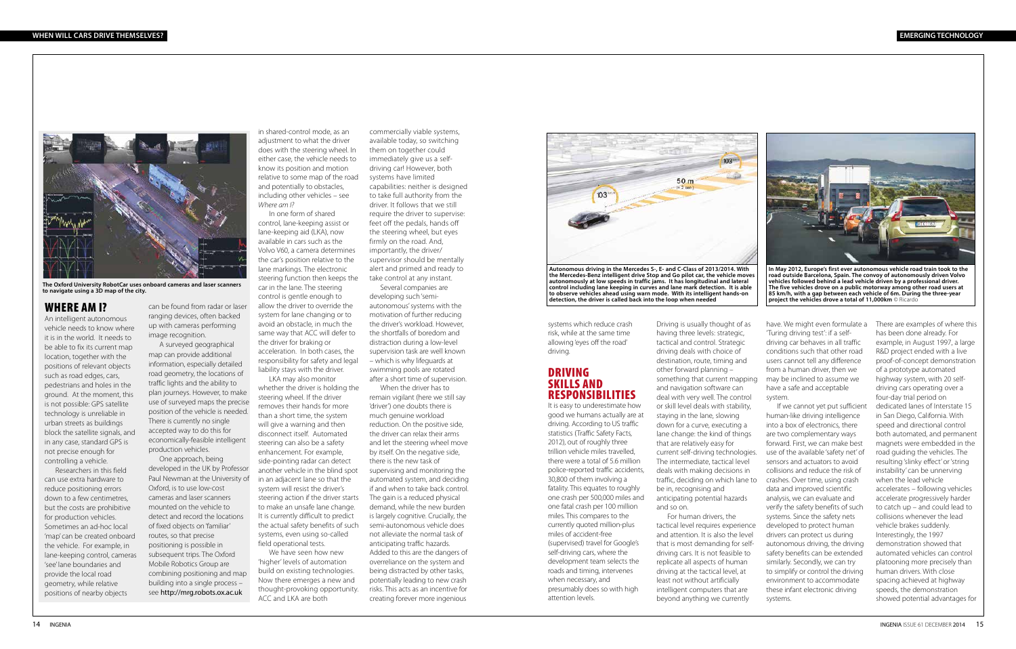commercially viable systems, available today, so switching them on together could immediately give us a selfdriving car! However, both systems have limited capabilities: neither is designed to take full authority from the driver. It follows that we still require the driver to supervise: feet off the pedals, hands off the steering wheel, but eyes firmly on the road. And, importantly, the driver/ supervisor should be mentally alert and primed and ready to take control at any instant.

Several companies are developing such 'semiautonomous' systems with the motivation of further reducing the driver's workload. However, the shortfalls of boredom and distraction during a low-level supervision task are well known – which is why lifeguards at swimming pools are rotated after a short time of supervision.

When the driver has to remain vigilant (here we still say 'driver') one doubts there is much genuine workload reduction. On the positive side, the driver can relax their arms and let the steering wheel move by itself. On the negative side, there is the new task of supervising and monitoring the automated system, and deciding if and when to take back control. The gain is a reduced physical demand, while the new burden is largely cognitive. Crucially, the semi-autonomous vehicle does not alleviate the normal task of anticipating traffic hazards. Added to this are the dangers of overreliance on the system and being distracted by other tasks, potentially leading to new crash risks. This acts as an incentive for creating forever more ingenious

systems which reduce crash risk, while at the same time allowing 'eyes off the road' driving.

#### DRIVING SKILLS AND RESPONSIBILITIES

It is easy to underestimate how good we humans actually are at driving. According to US traffic statistics (Traffic Safety Facts, 2012), out of roughly three trillion vehicle miles travelled, there were a total of 5.6 million police-reported traffic accidents, 30,800 of them involving a fatality. This equates to roughly one crash per 500,000 miles and one fatal crash per 100 million miles. This compares to the currently quoted million-plus miles of accident-free (supervised) travel for Google's self-driving cars, where the development team selects the roads and timing, intervenes when necessary, and presumably does so with high attention levels.

Driving is usually thought of as having three levels: strategic, tactical and control. Strategic driving deals with choice of destination, route, timing and other forward planning – something that current mapping and navigation software can deal with very well. The control or skill level deals with stability, staying in the lane, slowing down for a curve, executing a lane change: the kind of things that are relatively easy for current self-driving technologies. The intermediate, tactical level deals with making decisions in

traffic, deciding on which lane to be in, recognising and anticipating potential hazards and so on. For human drivers, the tactical level requires experience and attention. It is also the level that is most demanding for selfdriving cars. It is not feasible to replicate all aspects of human driving at the tactical level, at least not without artificially intelligent computers that are beyond anything we currently



If we cannot yet put sufficient human-like driving intelligence into a box of electronics, there are two complementary ways forward. First, we can make best use of the available 'safety net' of sensors and actuators to avoid collisions and reduce the risk of crashes. Over time, using crash data and improved scientific analysis, we can evaluate and verify the safety benefits of such systems. Since the safety nets developed to protect human drivers can protect us during autonomous driving, the driving safety benefits can be extended similarly. Secondly, we can try to simplify or control the driving environment to accommodate these infant electronic driving systems.

There are examples of where this has been done already. For example, in August 1997, a large R&D project ended with a live proof-of-concept demonstration of a prototype automated highway system, with 20 selfdriving cars operating over a four-day trial period on dedicated lanes of Interstate 15 in San Diego, California. With speed and directional control both automated, and permanent magnets were embedded in the road guiding the vehicles. The resulting 'slinky effect' or 'string instability' can be unnerving when the lead vehicle accelerates – following vehicles accelerate progressively harder to catch up – and could lead to collisions whenever the lead vehicle brakes suddenly. Interestingly, the 1997 demonstration showed that automated vehicles can control platooning more precisely than human drivers. With close spacing achieved at highway speeds, the demonstration showed potential advantages for

in shared-control mode, as an adjustment to what the driver does with the steering wheel. In either case, the vehicle needs to know its position and motion relative to some map of the road and potentially to obstacles, including other vehicles – see *Where am I?*

In one form of shared control, lane-keeping assist or lane-keeping aid (LKA), now available in cars such as the Volvo V60, a camera determines the car's position relative to the lane markings. The electronic steering function then keeps the car in the lane. The steering control is gentle enough to allow the driver to override the system for lane changing or to avoid an obstacle, in much the same way that ACC will defer to the driver for braking or acceleration. In both cases, the responsibility for safety and legal liability stays with the driver.

LKA may also monitor whether the driver is holding the steering wheel. If the driver removes their hands for more than a short time, the system will give a warning and then disconnect itself. Automated steering can also be a safety enhancement. For example, side-pointing radar can detect another vehicle in the blind spot in an adjacent lane so that the system will resist the driver's steering action if the driver starts to make an unsafe lane change. It is currently difficult to predict the actual safety benefits of such systems, even using so-called field operational tests.

We have seen how new 'higher' levels of automation build on existing technologies. Now there emerges a new and thought-provoking opportunity. ACC and LKA are both

#### WHERE AM I?

An intelligent autonomous vehicle needs to know where it is in the world. It needs to be able to fix its current map location, together with the positions of relevant objects such as road edges, cars, pedestrians and holes in the ground. At the moment, this is not possible: GPS satellite technology is unreliable in urban streets as buildings block the satellite signals, and in any case, standard GPS is not precise enough for controlling a vehicle.

Researchers in this field can use extra hardware to reduce positioning errors down to a few centimetres, but the costs are prohibitive for production vehicles. Sometimes an ad-hoc local 'map' can be created onboard the vehicle. For example, in lane-keeping control, cameras 'see' lane boundaries and provide the local road geometry, while relative positions of nearby objects

can be found from radar or laser ranging devices, often backed up with cameras performing image recognition.

A surveyed geographical map can provide additional information, especially detailed road geometry, the locations of traffic lights and the ability to plan journeys. However, to make use of surveyed maps the precise position of the vehicle is needed. There is currently no single accepted way to do this for economically-feasible intelligent production vehicles.

One approach, being developed in the UK by Professor Paul Newman at the University of Oxford, is to use low-cost cameras and laser scanners mounted on the vehicle to detect and record the locations of fixed objects on 'familiar' routes, so that precise positioning is possible in subsequent trips. The Oxford Mobile Robotics Group are combining positioning and map building into a single process – see http://mrg.robots.ox.ac.uk



**The Oxford University RobotCar uses onboard cameras and laser scanners to navigate using a 3D map of the city.**



**In May 2012, Europe's first ever autonomous vehicle road train took to the road outside Barcelona, Spain. The convoy of autonomously driven Volvo vehicles followed behind a lead vehicle driven by a professional driver. The five vehicles drove on a public motorway among other road users at 85 km/h, with a gap between each vehicle of 6m. During the three-year** 

**project the vehicles drove a total of 11,000km** © Ricardo